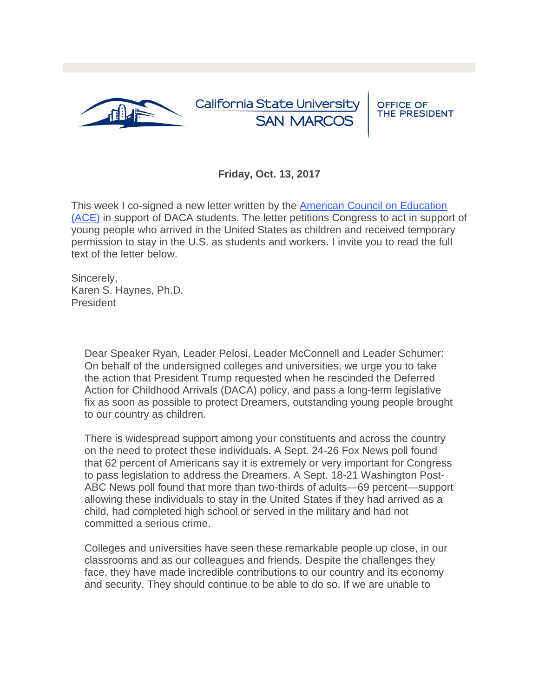

## **Friday, Oct. 13, 2017**

This week I co-signed a new letter written by the [American Council on Education](https://t.e2ma.net/click/sasxgmc/smt6hv/4blu2yf)  [\(ACE\)](https://t.e2ma.net/click/sasxgmc/smt6hv/4blu2yf) in support of DACA students. The letter petitions Congress to act in support of young people who arrived in the United States as children and received temporary permission to stay in the U.S. as students and workers. I invite you to read the full text of the letter below.

Sincerely, Karen S. Haynes, Ph.D. President

> Dear Speaker Ryan, Leader Pelosi, Leader McConnell and Leader Schumer: On behalf of the undersigned colleges and universities, we urge you to take the action that President Trump requested when he rescinded the Deferred Action for Childhood Arrivals (DACA) policy, and pass a long-term legislative fix as soon as possible to protect Dreamers, outstanding young people brought to our country as children.

> There is widespread support among your constituents and across the country on the need to protect these individuals. A Sept. 24-26 Fox News poll found that 62 percent of Americans say it is extremely or very important for Congress to pass legislation to address the Dreamers. A Sept. 18-21 Washington Post-ABC News poll found that more than two-thirds of adults—69 percent—support allowing these individuals to stay in the United States if they had arrived as a child, had completed high school or served in the military and had not committed a serious crime.

Colleges and universities have seen these remarkable people up close, in our classrooms and as our colleagues and friends. Despite the challenges they face, they have made incredible contributions to our country and its economy and security. They should continue to be able to do so. If we are unable to